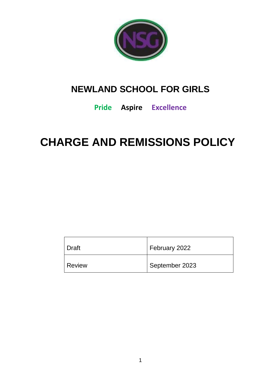

## **NEWLAND SCHOOL FOR GIRLS**

### **Pride Aspire Excellence**

# **CHARGE AND REMISSIONS POLICY**

| Draft         | February 2022  |
|---------------|----------------|
| <b>Review</b> | September 2023 |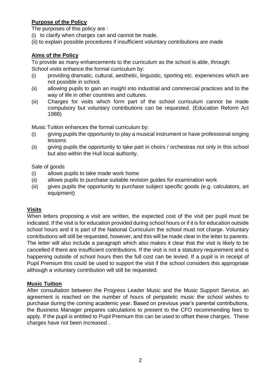#### **Purpose of the Policy**

The purposes of this policy are :

- (i) to clarify when charges can and cannot be made.
- (ii) to explain possible procedures if insufficient voluntary contributions are made

#### **Aims of the Policy**

To provide as many enhancements to the curriculum as the school is able, through: School visits enhance the formal curriculum by:

- (i) providing dramatic, cultural, aesthetic, linguistic, sporting etc. experiences which are not possible in school.
- (ii) allowing pupils to gain an insight into industrial and commercial practices and to the way of life in other countries and cultures.
- (iii) Charges for visits which form part of the school curriculum cannot be made compulsory but voluntary contributions can be requested. (Education Reform Act 1988)

Music Tuition enhances the formal curriculum by:

- (i) giving pupils the opportunity to play a musical instrument or have professional singing lessons
- (ii) giving pupils the opportunity to take part in choirs / orchestras not only in this school but also within the Hull local authority.

#### Sale of goods

- (i) allows pupils to take made work home
- (ii) allows pupils to purchase suitable revision guides for examination work
- (iii) gives pupils the opportunity to purchase subject specific goods (e.g. calculators, art equipment)

#### **Visits**

When letters proposing a visit are written, the expected cost of the visit per pupil must be indicated. If the visit is for education provided during school hours or if it is for education outside school hours and it is part of the National Curriculum the school must not charge. Voluntary contributions will still be requested, however, and this will be made clear in the letter to parents. The letter will also include a paragraph which also makes it clear that the visit is likely to be cancelled if there are insufficient contributions. If the visit is not a statutory requirement and is happening outside of school hours then the full cost can be levied. If a pupil is in receipt of Pupil Premium this could be used to support the visit if the school considers this appropriate although a voluntary contribution will still be requested.

#### **Music Tuition**

After consultation between the Progress Leader Music and the Music Support Service, an agreement is reached on the number of hours of peripatetic music the school wishes to purchase during the coming academic year. Based on previous year's parental contributions, the Business Manager prepares calculations to present to the CFO recommending fees to apply. If the pupil is entitled to Pupil Premium this can be used to offset these charges. These charges have not been increased .